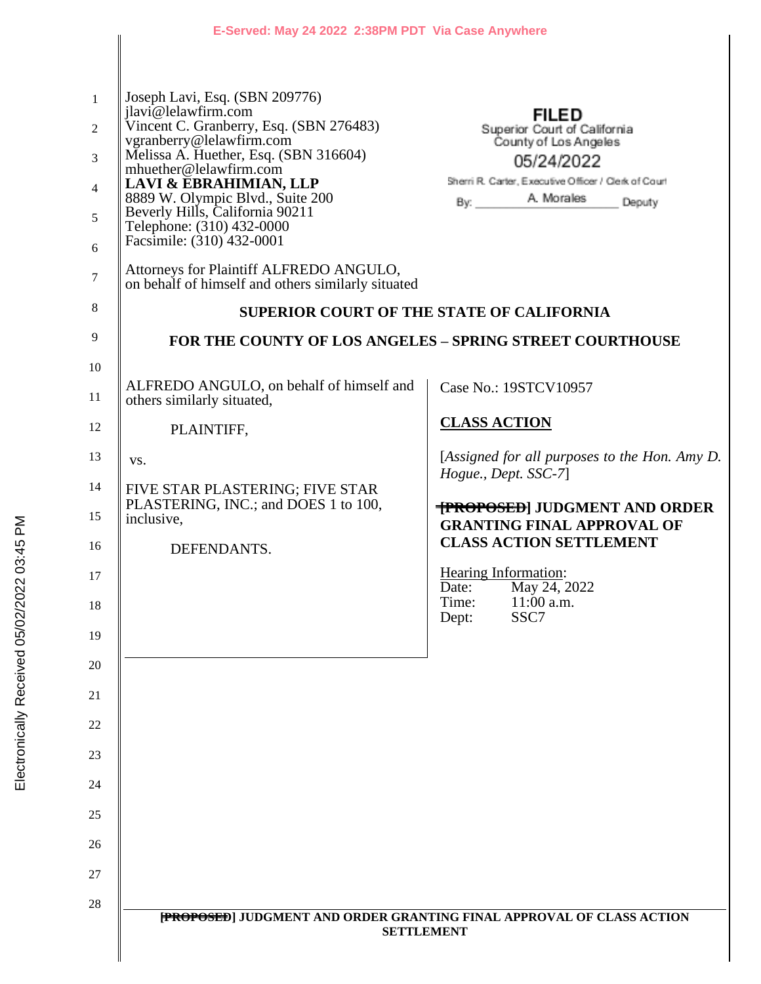|                | E-Served: May 24 2022 2:38PM PDT Via Case Anywhere                                                                            |                                                                       |  |
|----------------|-------------------------------------------------------------------------------------------------------------------------------|-----------------------------------------------------------------------|--|
|                |                                                                                                                               |                                                                       |  |
| $\mathbf{1}$   | Joseph Lavi, Esq. (SBN 209776)<br>jlavi@lelawfirm.com                                                                         | <b>FILED</b>                                                          |  |
| $\mathfrak{2}$ | Vincent C. Granberry, Esq. (SBN 276483)<br>vgranberry@lelawfirm.com                                                           | Superior Court of California                                          |  |
| 3              | Melissa A. Huether, Esq. (SBN 316604)<br>mhuether@lelawfirm.com                                                               | County of Los Angeles<br>05/24/2022                                   |  |
| $\overline{4}$ | LAVI & EBRAHIMIAN, LLP                                                                                                        | Sherri R. Carter, Executive Officer / Clerk of Court                  |  |
| 5              | 8889 W. Olympic Blvd., Suite 200<br>Beverly Hills, California 90211<br>Telephone: (310) 432-0000<br>Facsimile: (310) 432-0001 | Deputy                                                                |  |
| 6              |                                                                                                                               |                                                                       |  |
| $\tau$         | Attorneys for Plaintiff ALFREDO ANGULO,<br>on behalf of himself and others similarly situated                                 |                                                                       |  |
| $8\phantom{1}$ | <b>SUPERIOR COURT OF THE STATE OF CALIFORNIA</b>                                                                              |                                                                       |  |
| 9              | <b>FOR THE COUNTY OF LOS ANGELES - SPRING STREET COURTHOUSE</b>                                                               |                                                                       |  |
| 10             | ALFREDO ANGULO, on behalf of himself and                                                                                      |                                                                       |  |
| 11             | others similarly situated,                                                                                                    | Case No.: 19STCV10957                                                 |  |
| 12             | PLAINTIFF,                                                                                                                    | <b>CLASS ACTION</b>                                                   |  |
| 13             | VS.                                                                                                                           | [Assigned for all purposes to the Hon. Amy D.<br>Hogue., Dept. SSC-7] |  |
| 14             | FIVE STAR PLASTERING; FIVE STAR<br>PLASTERING, INC.; and DOES 1 to 100,                                                       | <b>TPROPOSED JUDGMENT AND ORDER</b>                                   |  |
| 15             | inclusive,                                                                                                                    | <b>GRANTING FINAL APPROVAL OF</b>                                     |  |
| 16             | DEFENDANTS.                                                                                                                   | <b>CLASS ACTION SETTLEMENT</b>                                        |  |
| 17             |                                                                                                                               | Hearing Information:<br>May 24, 2022<br>Date:                         |  |
| 18             |                                                                                                                               | $11:00$ a.m.<br>Time:<br>SSC7<br>Dept:                                |  |
| 19             |                                                                                                                               |                                                                       |  |
| 20             |                                                                                                                               |                                                                       |  |
| 21             |                                                                                                                               |                                                                       |  |
| 22             |                                                                                                                               |                                                                       |  |
| 23             |                                                                                                                               |                                                                       |  |
| 24             |                                                                                                                               |                                                                       |  |
| 25             |                                                                                                                               |                                                                       |  |
| 26             |                                                                                                                               |                                                                       |  |
| 27             |                                                                                                                               |                                                                       |  |
| 28             | [PROPOSED] JUDGMENT AND ORDER GRANTING FINAL APPROVAL OF CLASS ACTION                                                         |                                                                       |  |
|                | <b>SETTLEMENT</b>                                                                                                             |                                                                       |  |
|                |                                                                                                                               |                                                                       |  |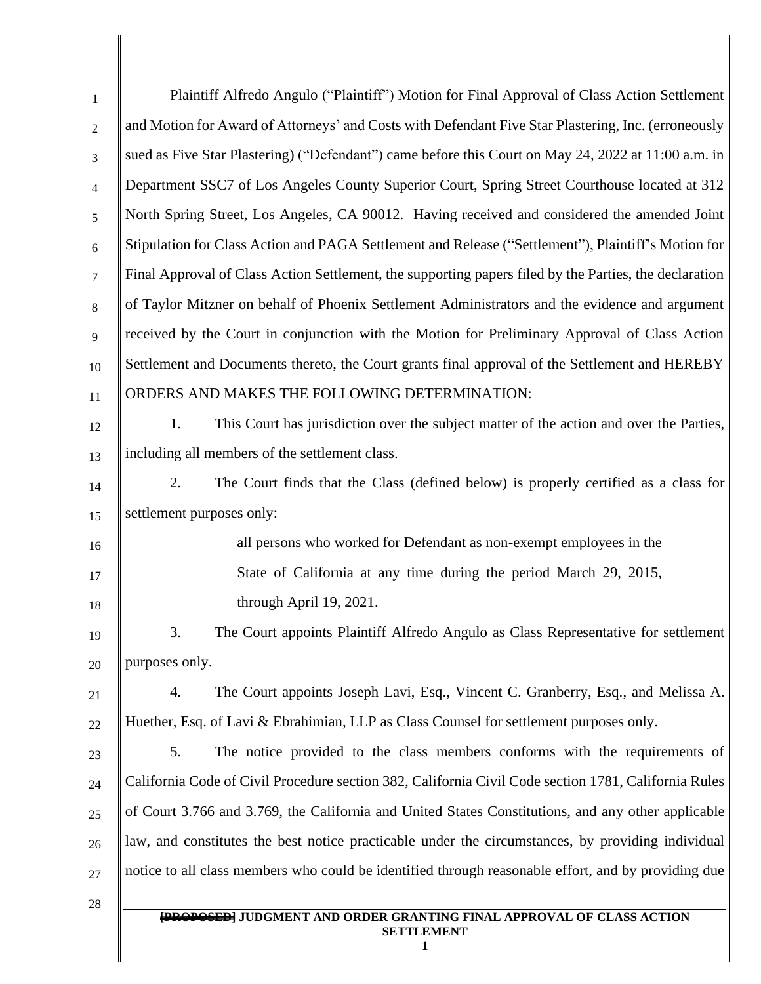| $\mathbf{1}$   | Plaintiff Alfredo Angulo ("Plaintiff") Motion for Final Approval of Class Action Settlement            |  |  |
|----------------|--------------------------------------------------------------------------------------------------------|--|--|
| $\mathfrak{2}$ | and Motion for Award of Attorneys' and Costs with Defendant Five Star Plastering, Inc. (erroneously    |  |  |
| 3              | sued as Five Star Plastering) ("Defendant") came before this Court on May 24, 2022 at 11:00 a.m. in    |  |  |
| $\overline{4}$ | Department SSC7 of Los Angeles County Superior Court, Spring Street Courthouse located at 312          |  |  |
| 5              | North Spring Street, Los Angeles, CA 90012. Having received and considered the amended Joint           |  |  |
| 6              | Stipulation for Class Action and PAGA Settlement and Release ("Settlement"), Plaintiff's Motion for    |  |  |
| $\overline{7}$ | Final Approval of Class Action Settlement, the supporting papers filed by the Parties, the declaration |  |  |
| 8              | of Taylor Mitzner on behalf of Phoenix Settlement Administrators and the evidence and argument         |  |  |
| 9              | received by the Court in conjunction with the Motion for Preliminary Approval of Class Action          |  |  |
| 10             | Settlement and Documents thereto, the Court grants final approval of the Settlement and HEREBY         |  |  |
| 11             | ORDERS AND MAKES THE FOLLOWING DETERMINATION:                                                          |  |  |
| 12             | This Court has jurisdiction over the subject matter of the action and over the Parties,<br>1.          |  |  |
| 13             | including all members of the settlement class.                                                         |  |  |
| 14             | The Court finds that the Class (defined below) is properly certified as a class for<br>2.              |  |  |
| 15             | settlement purposes only:                                                                              |  |  |
| 16             | all persons who worked for Defendant as non-exempt employees in the                                    |  |  |
| 17             | State of California at any time during the period March 29, 2015,                                      |  |  |
| 18             | through April 19, 2021.                                                                                |  |  |
| 19             | The Court appoints Plaintiff Alfredo Angulo as Class Representative for settlement<br>3.               |  |  |
| 20             | purposes only.                                                                                         |  |  |
| 21             | The Court appoints Joseph Lavi, Esq., Vincent C. Granberry, Esq., and Melissa A.<br>4.                 |  |  |
| 22             | Huether, Esq. of Lavi & Ebrahimian, LLP as Class Counsel for settlement purposes only.                 |  |  |
| 23             | 5.<br>The notice provided to the class members conforms with the requirements of                       |  |  |
| 24             | California Code of Civil Procedure section 382, California Civil Code section 1781, California Rules   |  |  |
| 25             | of Court 3.766 and 3.769, the California and United States Constitutions, and any other applicable     |  |  |
| 26             | law, and constitutes the best notice practicable under the circumstances, by providing individual      |  |  |
| 27             | notice to all class members who could be identified through reasonable effort, and by providing due    |  |  |
| 28             |                                                                                                        |  |  |
|                | <b>[PROPOSED]</b> JUDGMENT AND ORDER GRANTING FINAL APPROVAL OF CLASS ACTION<br><b>SETTLEMENT</b><br>1 |  |  |

║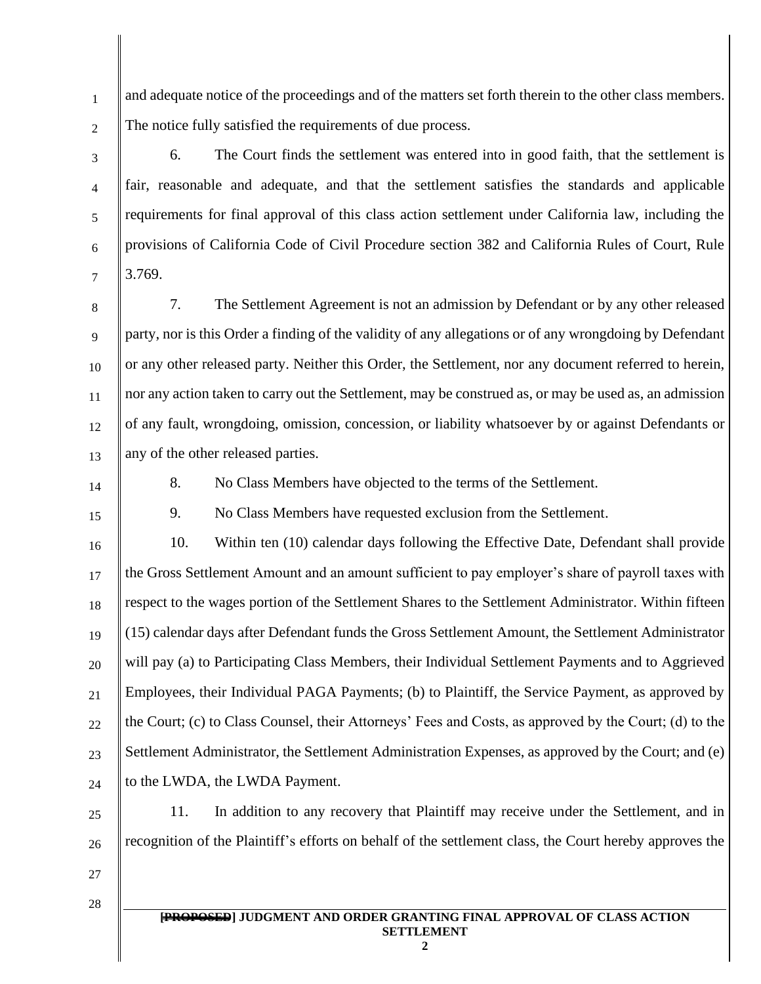1 2 and adequate notice of the proceedings and of the matters set forth therein to the other class members. The notice fully satisfied the requirements of due process.

- 6. The Court finds the settlement was entered into in good faith, that the settlement is fair, reasonable and adequate, and that the settlement satisfies the standards and applicable requirements for final approval of this class action settlement under California law, including the provisions of California Code of Civil Procedure section 382 and California Rules of Court, Rule 3.769.
- 8 9 10 11 12 13 7. The Settlement Agreement is not an admission by Defendant or by any other released party, nor is this Order a finding of the validity of any allegations or of any wrongdoing by Defendant or any other released party. Neither this Order, the Settlement, nor any document referred to herein, nor any action taken to carry out the Settlement, may be construed as, or may be used as, an admission of any fault, wrongdoing, omission, concession, or liability whatsoever by or against Defendants or any of the other released parties.
- 14

3

4

5

6

7

8. No Class Members have objected to the terms of the Settlement.

15

9. No Class Members have requested exclusion from the Settlement.

16 17 18 19 20 21 22 23 24 10. Within ten (10) calendar days following the Effective Date, Defendant shall provide the Gross Settlement Amount and an amount sufficient to pay employer's share of payroll taxes with respect to the wages portion of the Settlement Shares to the Settlement Administrator. Within fifteen (15) calendar days after Defendant funds the Gross Settlement Amount, the Settlement Administrator will pay (a) to Participating Class Members, their Individual Settlement Payments and to Aggrieved Employees, their Individual PAGA Payments; (b) to Plaintiff, the Service Payment, as approved by the Court; (c) to Class Counsel, their Attorneys' Fees and Costs, as approved by the Court; (d) to the Settlement Administrator, the Settlement Administration Expenses, as approved by the Court; and (e) to the LWDA, the LWDA Payment.

25

11. In addition to any recovery that Plaintiff may receive under the Settlement, and in recognition of the Plaintiff's efforts on behalf of the settlement class, the Court hereby approves the

27

28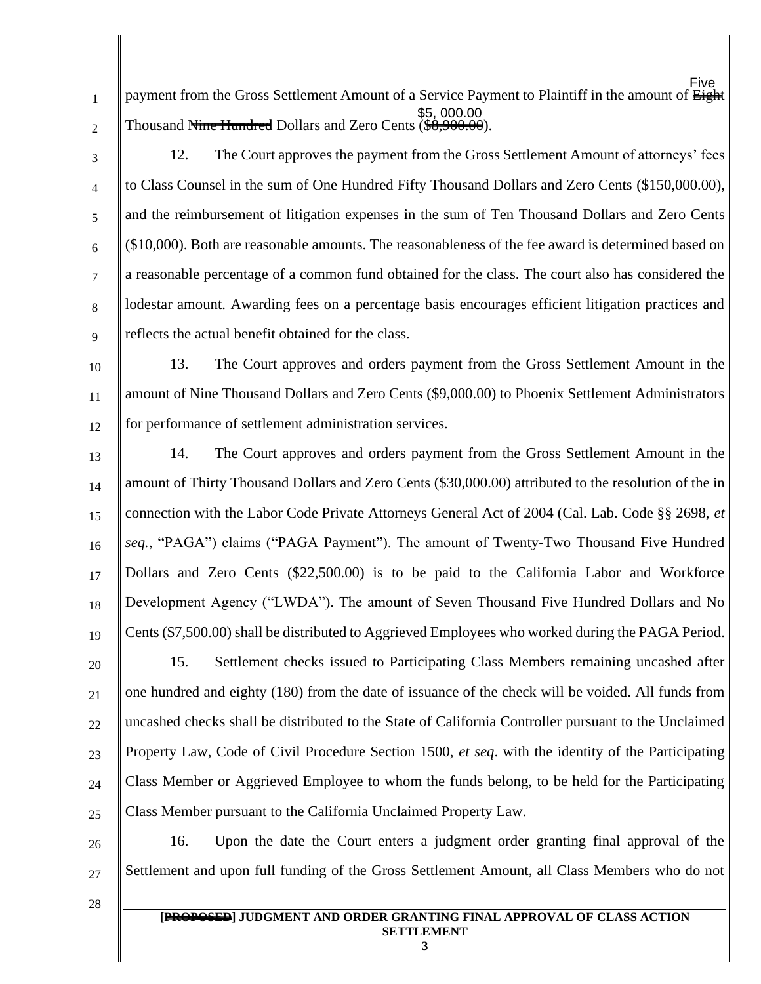1 payment from the Gross Settlement Amount of a Service Payment to Plaintiff in the amount of Eight Thousand Nine Hundred Dollars and Zero Cents (\$8,900.00). Øãq∧ ÅÍ É<del>XECCITE</del>

2 3

4

5

6

7

8

12. The Court approves the payment from the Gross Settlement Amount of attorneys' fees to Class Counsel in the sum of One Hundred Fifty Thousand Dollars and Zero Cents (\$150,000.00), and the reimbursement of litigation expenses in the sum of Ten Thousand Dollars and Zero Cents (\$10,000). Both are reasonable amounts. The reasonableness of the fee award is determined based on a reasonable percentage of a common fund obtained for the class. The court also has considered the lodestar amount. Awarding fees on a percentage basis encourages efficient litigation practices and reflects the actual benefit obtained for the class.

9 10

11

12 13. The Court approves and orders payment from the Gross Settlement Amount in the amount of Nine Thousand Dollars and Zero Cents (\$9,000.00) to Phoenix Settlement Administrators for performance of settlement administration services.

13

14 15 16 17 18 19 14. The Court approves and orders payment from the Gross Settlement Amount in the amount of Thirty Thousand Dollars and Zero Cents (\$30,000.00) attributed to the resolution of the in connection with the Labor Code Private Attorneys General Act of 2004 (Cal. Lab. Code §§ 2698, *et seq.*, "PAGA") claims ("PAGA Payment"). The amount of Twenty-Two Thousand Five Hundred Dollars and Zero Cents (\$22,500.00) is to be paid to the California Labor and Workforce Development Agency ("LWDA"). The amount of Seven Thousand Five Hundred Dollars and No Cents (\$7,500.00) shall be distributed to Aggrieved Employees who worked during the PAGA Period.

20 21 22 23 24 25 15. Settlement checks issued to Participating Class Members remaining uncashed after one hundred and eighty (180) from the date of issuance of the check will be voided. All funds from uncashed checks shall be distributed to the State of California Controller pursuant to the Unclaimed Property Law, Code of Civil Procedure Section 1500, *et seq*. with the identity of the Participating Class Member or Aggrieved Employee to whom the funds belong, to be held for the Participating Class Member pursuant to the California Unclaimed Property Law.

26 27 16. Upon the date the Court enters a judgment order granting final approval of the Settlement and upon full funding of the Gross Settlement Amount, all Class Members who do not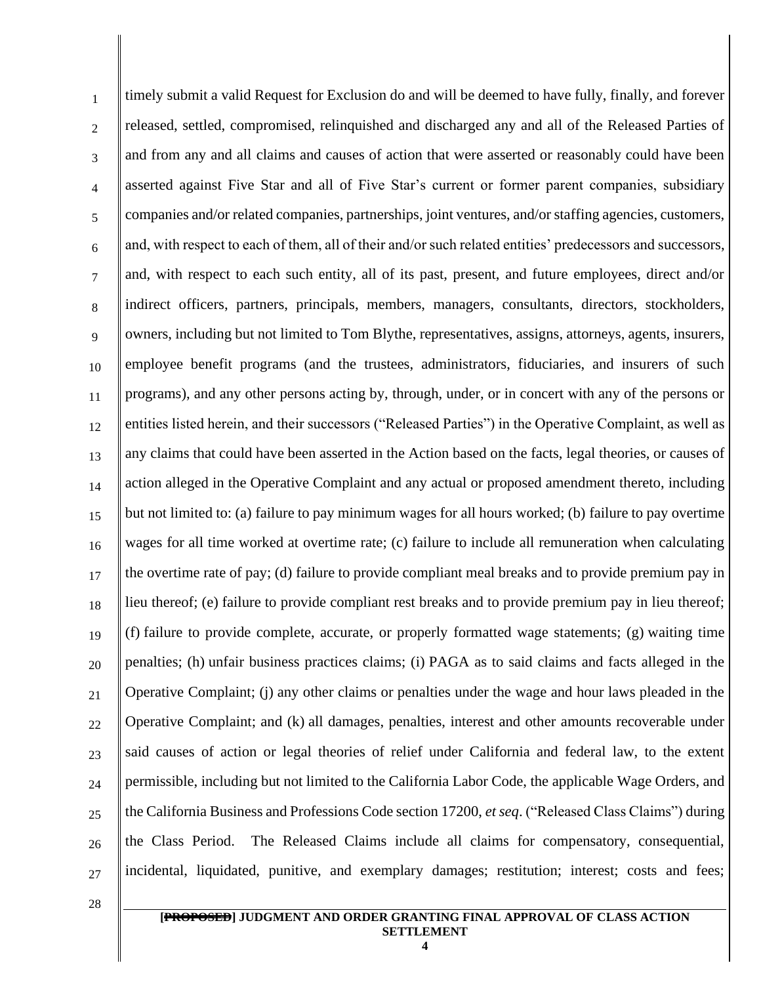1 2 3 4 5 6 7 8 9 10 11 12 13 14 15 16 17 18 19 20 21 22 23 24 25 26 27 timely submit a valid Request for Exclusion do and will be deemed to have fully, finally, and forever released, settled, compromised, relinquished and discharged any and all of the Released Parties of and from any and all claims and causes of action that were asserted or reasonably could have been asserted against Five Star and all of Five Star's current or former parent companies, subsidiary companies and/or related companies, partnerships, joint ventures, and/or staffing agencies, customers, and, with respect to each of them, all of their and/or such related entities' predecessors and successors, and, with respect to each such entity, all of its past, present, and future employees, direct and/or indirect officers, partners, principals, members, managers, consultants, directors, stockholders, owners, including but not limited to Tom Blythe, representatives, assigns, attorneys, agents, insurers, employee benefit programs (and the trustees, administrators, fiduciaries, and insurers of such programs), and any other persons acting by, through, under, or in concert with any of the persons or entities listed herein, and their successors ("Released Parties") in the Operative Complaint, as well as any claims that could have been asserted in the Action based on the facts, legal theories, or causes of action alleged in the Operative Complaint and any actual or proposed amendment thereto, including but not limited to: (a) failure to pay minimum wages for all hours worked; (b) failure to pay overtime wages for all time worked at overtime rate; (c) failure to include all remuneration when calculating the overtime rate of pay; (d) failure to provide compliant meal breaks and to provide premium pay in lieu thereof; (e) failure to provide compliant rest breaks and to provide premium pay in lieu thereof; (f) failure to provide complete, accurate, or properly formatted wage statements; (g) waiting time penalties; (h) unfair business practices claims; (i) PAGA as to said claims and facts alleged in the Operative Complaint; (j) any other claims or penalties under the wage and hour laws pleaded in the Operative Complaint; and (k) all damages, penalties, interest and other amounts recoverable under said causes of action or legal theories of relief under California and federal law, to the extent permissible, including but not limited to the California Labor Code, the applicable Wage Orders, and the California Business and Professions Code section 17200, *et seq*. ("Released Class Claims") during the Class Period. The Released Claims include all claims for compensatory, consequential, incidental, liquidated, punitive, and exemplary damages; restitution; interest; costs and fees;

**[PROPOSED] JUDGMENT AND ORDER GRANTING FINAL APPROVAL OF CLASS ACTION SETTLEMENT**